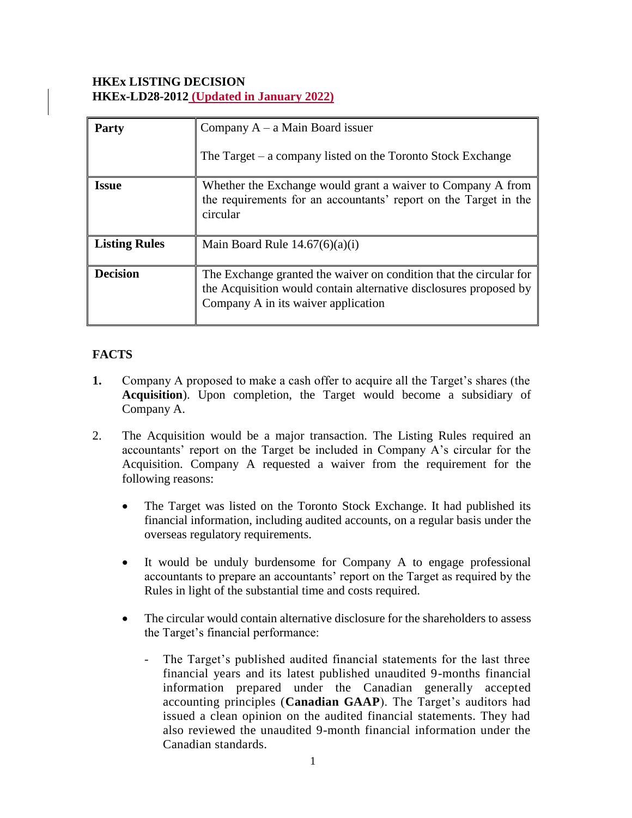### **HKEx LISTING DECISION HKEx-LD28-2012 (Updated in January 2022)**

| <b>Party</b>         | Company $A - a$ Main Board issuer<br>The Target $-$ a company listed on the Toronto Stock Exchange                                                                             |
|----------------------|--------------------------------------------------------------------------------------------------------------------------------------------------------------------------------|
| <b>Issue</b>         | Whether the Exchange would grant a waiver to Company A from<br>the requirements for an accountants' report on the Target in the<br>circular                                    |
| <b>Listing Rules</b> | Main Board Rule $14.67(6)(a)(i)$                                                                                                                                               |
| <b>Decision</b>      | The Exchange granted the waiver on condition that the circular for<br>the Acquisition would contain alternative disclosures proposed by<br>Company A in its waiver application |

## **FACTS**

- **1.** Company A proposed to make a cash offer to acquire all the Target's shares (the **Acquisition**). Upon completion, the Target would become a subsidiary of Company A.
- 2. The Acquisition would be a major transaction. The Listing Rules required an accountants' report on the Target be included in Company A's circular for the Acquisition. Company A requested a waiver from the requirement for the following reasons:
	- The Target was listed on the Toronto Stock Exchange. It had published its financial information, including audited accounts, on a regular basis under the overseas regulatory requirements.
	- It would be unduly burdensome for Company A to engage professional accountants to prepare an accountants' report on the Target as required by the Rules in light of the substantial time and costs required.
	- The circular would contain alternative disclosure for the shareholders to assess the Target's financial performance:
		- The Target's published audited financial statements for the last three financial years and its latest published unaudited 9-months financial information prepared under the Canadian generally accepted accounting principles (**Canadian GAAP**). The Target's auditors had issued a clean opinion on the audited financial statements. They had also reviewed the unaudited 9-month financial information under the Canadian standards.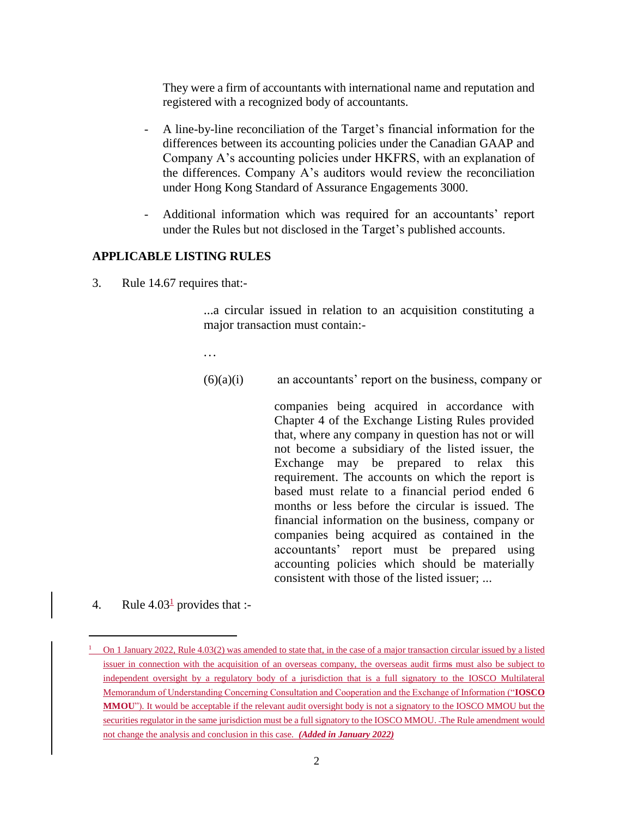They were a firm of accountants with international name and reputation and registered with a recognized body of accountants.

- A line-by-line reconciliation of the Target's financial information for the differences between its accounting policies under the Canadian GAAP and Company A's accounting policies under HKFRS, with an explanation of the differences. Company A's auditors would review the reconciliation under Hong Kong Standard of Assurance Engagements 3000.
- Additional information which was required for an accountants' report under the Rules but not disclosed in the Target's published accounts.

#### **APPLICABLE LISTING RULES**

3. Rule 14.67 requires that:-

...a circular issued in relation to an acquisition constituting a major transaction must contain:-

...

- $(6)(a)(i)$  an accountants' report on the business, company or
	- companies being acquired in accordance with Chapter 4 of the Exchange Listing Rules provided that, where any company in question has not or will not become a subsidiary of the listed issuer, the Exchange may be prepared to relax this requirement. The accounts on which the report is based must relate to a financial period ended 6 months or less before the circular is issued. The financial information on the business, company or companies being acquired as contained in the accountants' report must be prepared using accounting policies which should be materially consistent with those of the listed issuer; ...
- 4. Rule  $4.03<sup>1</sup>$  provides that :-

 $\overline{a}$ 

<sup>&</sup>lt;sup>1</sup> On 1 January 2022, Rule 4.03(2) was amended to state that, in the case of a major transaction circular issued by a listed issuer in connection with the acquisition of an overseas company, the overseas audit firms must also be subject to independent oversight by a regulatory body of a jurisdiction that is a full signatory to the IOSCO Multilateral Memorandum of Understanding Concerning Consultation and Cooperation and the Exchange of Information ("**IOSCO MMOU**"). It would be acceptable if the relevant audit oversight body is not a signatory to the IOSCO MMOU but the securities regulator in the same jurisdiction must be a full signatory to the IOSCO MMOU. The Rule amendment would not change the analysis and conclusion in this case. *(Added in January 2022)*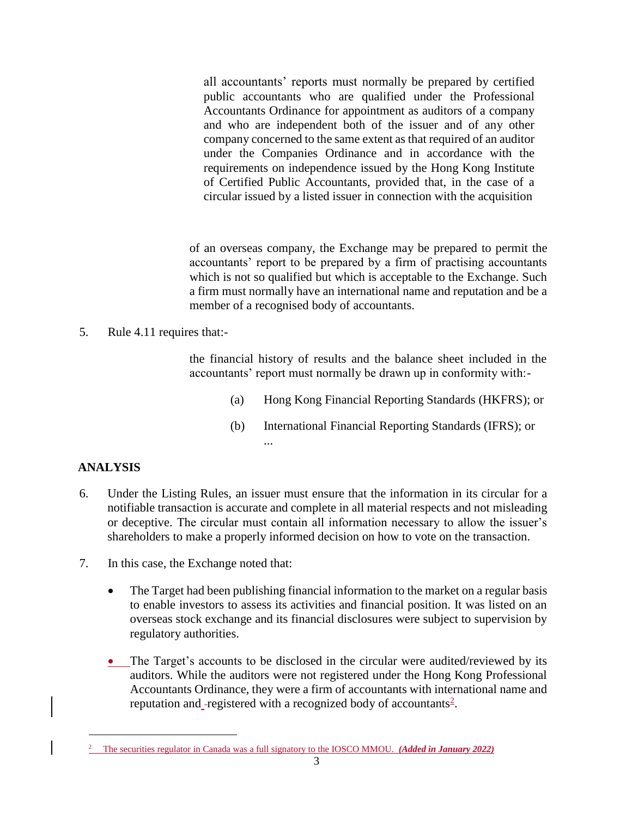all accountants' reports must normally be prepared by certified public accountants who are qualified under the Professional Accountants Ordinance for appointment as auditors of a company and who are independent both of the issuer and of any other company concerned to the same extent as that required of an auditor under the Companies Ordinance and in accordance with the requirements on independence issued by the Hong Kong Institute of Certified Public Accountants, provided that, in the case of a circular issued by a listed issuer in connection with the acquisition

of an overseas company, the Exchange may be prepared to permit the accountants' report to be prepared by a firm of practising accountants which is not so qualified but which is acceptable to the Exchange. Such a firm must normally have an international name and reputation and be a member of a recognised body of accountants.

5. Rule 4.11 requires that:-

the financial history of results and the balance sheet included in the accountants' report must normally be drawn up in conformity with:-

- (a) Hong Kong Financial Reporting Standards (HKFRS); or
- (b) International Financial Reporting Standards (IFRS); or ...

# **ANALYSIS**

 $\overline{a}$ 

- 6. Under the Listing Rules, an issuer must ensure that the information in its circular for a notifiable transaction is accurate and complete in all material respects and not misleading or deceptive. The circular must contain all information necessary to allow the issuer's shareholders to make a properly informed decision on how to vote on the transaction.
- 7. In this case, the Exchange noted that:
	- The Target had been publishing financial information to the market on a regular basis to enable investors to assess its activities and financial position. It was listed on an overseas stock exchange and its financial disclosures were subject to supervision by regulatory authorities.
	- The Target's accounts to be disclosed in the circular were audited/reviewed by its auditors. While the auditors were not registered under the Hong Kong Professional Accountants Ordinance, they were a firm of accountants with international name and reputation and -registered with a recognized body of accountants<sup>2</sup>.

<sup>2</sup> The securities regulator in Canada was a full signatory to the IOSCO MMOU. *(Added in January 2022)*